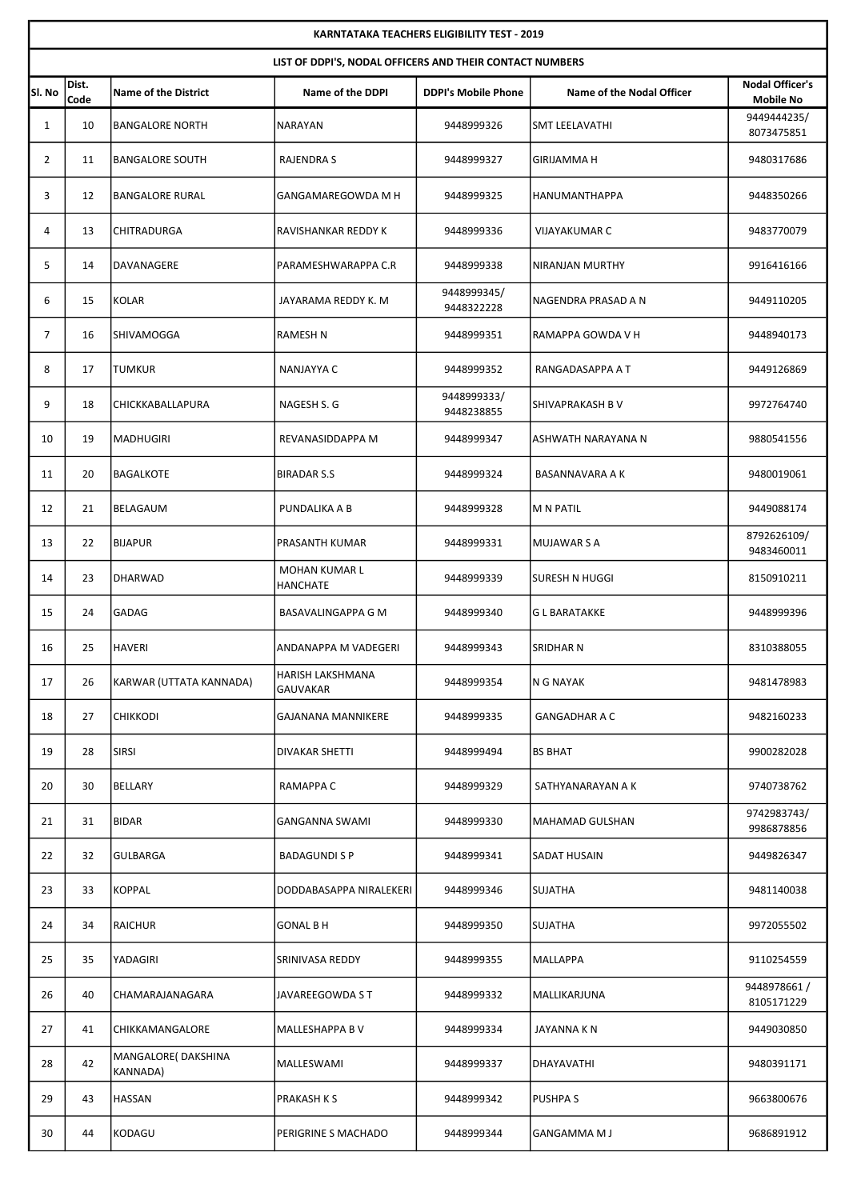| <b>KARNTATAKA TEACHERS ELIGIBILITY TEST - 2019</b>       |               |                                       |                                  |                            |                           |                                            |  |  |  |  |
|----------------------------------------------------------|---------------|---------------------------------------|----------------------------------|----------------------------|---------------------------|--------------------------------------------|--|--|--|--|
| LIST OF DDPI'S, NODAL OFFICERS AND THEIR CONTACT NUMBERS |               |                                       |                                  |                            |                           |                                            |  |  |  |  |
| SI. No                                                   | Dist.<br>Code | <b>Name of the District</b>           | <b>Name of the DDPI</b>          | <b>DDPI's Mobile Phone</b> | Name of the Nodal Officer | <b>Nodal Officer's</b><br><b>Mobile No</b> |  |  |  |  |
| $\mathbf{1}$                                             | 10            | <b>BANGALORE NORTH</b>                | NARAYAN                          | 9448999326                 | SMT LEELAVATHI            | 9449444235/<br>8073475851                  |  |  |  |  |
| $\overline{2}$                                           | 11            | <b>BANGALORE SOUTH</b>                | RAJENDRA S                       | 9448999327                 | GIRIJAMMA H               | 9480317686                                 |  |  |  |  |
| 3                                                        | 12            | <b>BANGALORE RURAL</b>                | GANGAMAREGOWDA M H               | 9448999325                 | HANUMANTHAPPA             | 9448350266                                 |  |  |  |  |
| 4                                                        | 13            | CHITRADURGA                           | RAVISHANKAR REDDY K              | 9448999336                 | <b>VIJAYAKUMAR C</b>      | 9483770079                                 |  |  |  |  |
| 5                                                        | 14            | DAVANAGERE                            | PARAMESHWARAPPA C.R              | 9448999338                 | NIRANJAN MURTHY           | 9916416166                                 |  |  |  |  |
| 6                                                        | 15            | <b>KOLAR</b>                          | JAYARAMA REDDY K. M              | 9448999345/<br>9448322228  | NAGENDRA PRASAD A N       | 9449110205                                 |  |  |  |  |
| 7                                                        | 16            | SHIVAMOGGA                            | <b>RAMESH N</b>                  | 9448999351                 | RAMAPPA GOWDA V H         | 9448940173                                 |  |  |  |  |
| 8                                                        | 17            | <b>TUMKUR</b>                         | NANJAYYA C                       | 9448999352                 | RANGADASAPPA A T          | 9449126869                                 |  |  |  |  |
| 9                                                        | 18            | CHICKKABALLAPURA                      | NAGESH S. G                      | 9448999333/<br>9448238855  | <b>SHIVAPRAKASH B V</b>   | 9972764740                                 |  |  |  |  |
| 10                                                       | 19            | <b>MADHUGIRI</b>                      | REVANASIDDAPPA M                 | 9448999347                 | ASHWATH NARAYANA N        | 9880541556                                 |  |  |  |  |
| 11                                                       | 20            | <b>BAGALKOTE</b>                      | <b>BIRADAR S.S</b>               | 9448999324                 | BASANNAVARA A K           | 9480019061                                 |  |  |  |  |
| 12                                                       | 21            | BELAGAUM                              | PUNDALIKA A B                    | 9448999328                 | M N PATIL                 | 9449088174                                 |  |  |  |  |
| 13                                                       | 22            | <b>BIJAPUR</b>                        | <b>PRASANTH KUMAR</b>            | 9448999331                 | MUJAWAR S A               | 8792626109/<br>9483460011                  |  |  |  |  |
| 14                                                       | 23            | <b>DHARWAD</b>                        | MOHAN KUMAR L<br><b>HANCHATE</b> | 9448999339                 | lsuresh n huggi           | 8150910211                                 |  |  |  |  |
| 15                                                       | 24            | <b>GADAG</b>                          | BASAVALINGAPPA G M               | 9448999340                 | G L BARATAKKE             | 9448999396                                 |  |  |  |  |
| 16                                                       | 25            | <b>HAVERI</b>                         | ANDANAPPA M VADEGERI             | 9448999343                 | SRIDHAR N                 | 8310388055                                 |  |  |  |  |
| 17                                                       | 26            | KARWAR (UTTATA KANNADA)               | HARISH LAKSHMANA<br>GAUVAKAR     | 9448999354                 | N G NAYAK                 | 9481478983                                 |  |  |  |  |
| 18                                                       | 27            | <b>CHIKKODI</b>                       | <b>GAJANANA MANNIKERE</b>        | 9448999335                 | <b>GANGADHAR A C</b>      | 9482160233                                 |  |  |  |  |
| 19                                                       | 28            | <b>SIRSI</b>                          | DIVAKAR SHETTI                   | 9448999494                 | <b>BS BHAT</b>            | 9900282028                                 |  |  |  |  |
| 20                                                       | 30            | BELLARY                               | RAMAPPA C                        | 9448999329                 | SATHYANARAYAN A K         | 9740738762                                 |  |  |  |  |
| 21                                                       | 31            | <b>BIDAR</b>                          | GANGANNA SWAMI                   | 9448999330                 | MAHAMAD GULSHAN           | 9742983743/<br>9986878856                  |  |  |  |  |
| 22                                                       | 32            | GULBARGA                              | <b>BADAGUNDI S P</b>             | 9448999341                 | SADAT HUSAIN              | 9449826347                                 |  |  |  |  |
| 23                                                       | 33            | <b>KOPPAL</b>                         | DODDABASAPPA NIRALEKERI          | 9448999346                 | SUJATHA                   | 9481140038                                 |  |  |  |  |
| 24                                                       | 34            | RAICHUR                               | <b>GONAL B H</b>                 | 9448999350                 | SUJATHA                   | 9972055502                                 |  |  |  |  |
| 25                                                       | 35            | YADAGIRI                              | SRINIVASA REDDY                  | 9448999355                 | MALLAPPA                  | 9110254559                                 |  |  |  |  |
| 26                                                       | 40            | CHAMARAJANAGARA                       | JAVAREEGOWDA S T                 | 9448999332                 | MALLIKARJUNA              | 9448978661/<br>8105171229                  |  |  |  |  |
| 27                                                       | 41            | CHIKKAMANGALORE                       | MALLESHAPPA B V                  | 9448999334                 | JAYANNA K N               | 9449030850                                 |  |  |  |  |
| 28                                                       | 42            | MANGALORE(DAKSHINA<br><b>KANNADA)</b> | MALLESWAMI                       | 9448999337                 | DHAYAVATHI                | 9480391171                                 |  |  |  |  |
| 29                                                       | 43            | HASSAN                                | <b>PRAKASH K S</b>               | 9448999342                 | PUSHPA S                  | 9663800676                                 |  |  |  |  |
| 30                                                       | 44            | KODAGU                                | PERIGRINE S MACHADO              | 9448999344                 | GANGAMMA M J              | 9686891912                                 |  |  |  |  |